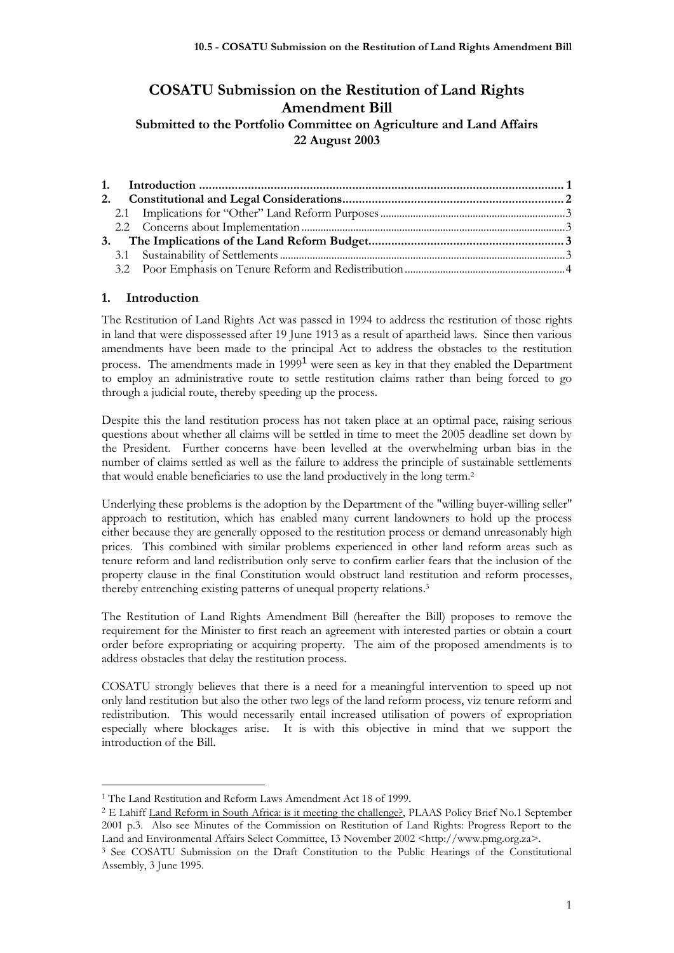# **COSATU Submission on the Restitution of Land Rights Amendment Bill Submitted to the Portfolio Committee on Agriculture and Land Affairs 22 August 2003**

## **1. Introduction**

The Restitution of Land Rights Act was passed in 1994 to address the restitution of those rights in land that were dispossessed after 19 June 1913 as a result of apartheid laws. Since then various amendments have been made to the principal Act to address the obstacles to the restitution process. The amendments made in  $1999<sup>1</sup>$  were seen as key in that they enabled the Department to employ an administrative route to settle restitution claims rather than being forced to go through a judicial route, thereby speeding up the process.

Despite this the land restitution process has not taken place at an optimal pace, raising serious questions about whether all claims will be settled in time to meet the 2005 deadline set down by the President. Further concerns have been levelled at the overwhelming urban bias in the number of claims settled as well as the failure to address the principle of sustainable settlements that would enable beneficiaries to use the land productively in the long term.<sup>2</sup>

Underlying these problems is the adoption by the Department of the "willing buyer-willing seller" approach to restitution, which has enabled many current landowners to hold up the process either because they are generally opposed to the restitution process or demand unreasonably high prices. This combined with similar problems experienced in other land reform areas such as tenure reform and land redistribution only serve to confirm earlier fears that the inclusion of the property clause in the final Constitution would obstruct land restitution and reform processes, thereby entrenching existing patterns of unequal property relations.<sup>3</sup>

The Restitution of Land Rights Amendment Bill (hereafter the Bill) proposes to remove the requirement for the Minister to first reach an agreement with interested parties or obtain a court order before expropriating or acquiring property. The aim of the proposed amendments is to address obstacles that delay the restitution process.

COSATU strongly believes that there is a need for a meaningful intervention to speed up not only land restitution but also the other two legs of the land reform process, viz tenure reform and redistribution. This would necessarily entail increased utilisation of powers of expropriation especially where blockages arise. It is with this objective in mind that we support the introduction of the Bill.

<sup>1</sup> The Land Restitution and Reform Laws Amendment Act 18 of 1999.

<sup>2</sup> E Lahiff Land Reform in South Africa: is it meeting the challenge?, PLAAS Policy Brief No.1 September 2001 p.3. Also see Minutes of the Commission on Restitution of Land Rights: Progress Report to the Land and Environmental Affairs Select Committee, 13 November 2002 <http://www.pmg.org.za>.

<sup>3</sup> See COSATU Submission on the Draft Constitution to the Public Hearings of the Constitutional Assembly, 3 June 1995.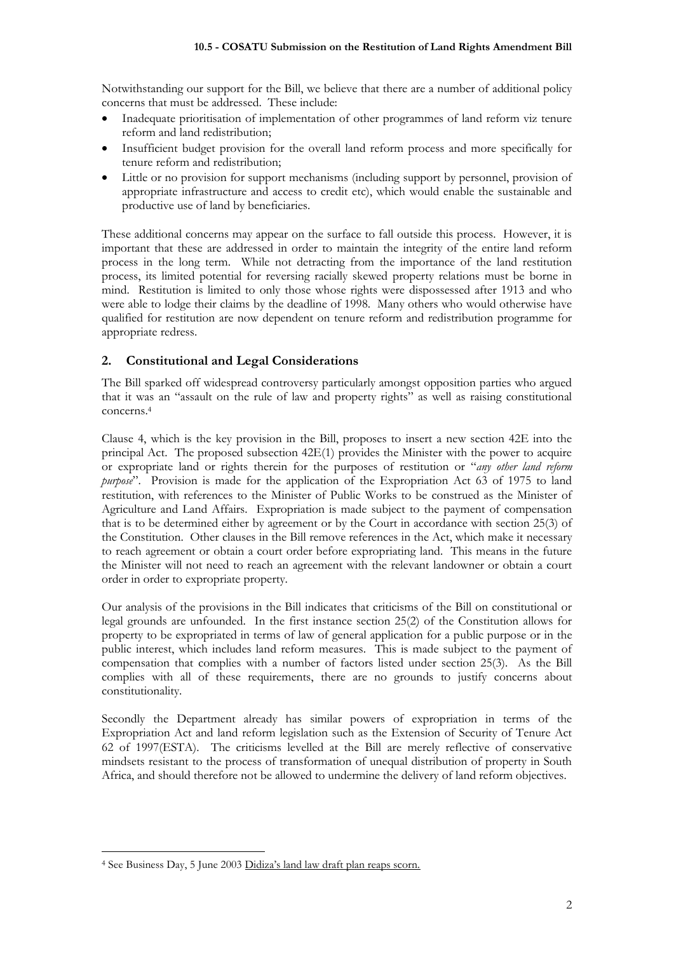Notwithstanding our support for the Bill, we believe that there are a number of additional policy concerns that must be addressed. These include:

- Inadequate prioritisation of implementation of other programmes of land reform viz tenure reform and land redistribution;
- Insufficient budget provision for the overall land reform process and more specifically for tenure reform and redistribution;
- Little or no provision for support mechanisms (including support by personnel, provision of appropriate infrastructure and access to credit etc), which would enable the sustainable and productive use of land by beneficiaries.

These additional concerns may appear on the surface to fall outside this process. However, it is important that these are addressed in order to maintain the integrity of the entire land reform process in the long term. While not detracting from the importance of the land restitution process, its limited potential for reversing racially skewed property relations must be borne in mind. Restitution is limited to only those whose rights were dispossessed after 1913 and who were able to lodge their claims by the deadline of 1998. Many others who would otherwise have qualified for restitution are now dependent on tenure reform and redistribution programme for appropriate redress.

## **2. Constitutional and Legal Considerations**

The Bill sparked off widespread controversy particularly amongst opposition parties who argued that it was an "assault on the rule of law and property rights" as well as raising constitutional concerns.<sup>4</sup>

Clause 4, which is the key provision in the Bill, proposes to insert a new section 42E into the principal Act. The proposed subsection 42E(1) provides the Minister with the power to acquire or expropriate land or rights therein for the purposes of restitution or "*any other land reform purpose*". Provision is made for the application of the Expropriation Act 63 of 1975 to land restitution, with references to the Minister of Public Works to be construed as the Minister of Agriculture and Land Affairs. Expropriation is made subject to the payment of compensation that is to be determined either by agreement or by the Court in accordance with section 25(3) of the Constitution. Other clauses in the Bill remove references in the Act, which make it necessary to reach agreement or obtain a court order before expropriating land. This means in the future the Minister will not need to reach an agreement with the relevant landowner or obtain a court order in order to expropriate property.

Our analysis of the provisions in the Bill indicates that criticisms of the Bill on constitutional or legal grounds are unfounded. In the first instance section 25(2) of the Constitution allows for property to be expropriated in terms of law of general application for a public purpose or in the public interest, which includes land reform measures. This is made subject to the payment of compensation that complies with a number of factors listed under section 25(3). As the Bill complies with all of these requirements, there are no grounds to justify concerns about constitutionality.

Secondly the Department already has similar powers of expropriation in terms of the Expropriation Act and land reform legislation such as the Extension of Security of Tenure Act 62 of 1997(ESTA). The criticisms levelled at the Bill are merely reflective of conservative mindsets resistant to the process of transformation of unequal distribution of property in South Africa, and should therefore not be allowed to undermine the delivery of land reform objectives.

<sup>4</sup> See Business Day, 5 June 2003 Didiza's land law draft plan reaps scorn.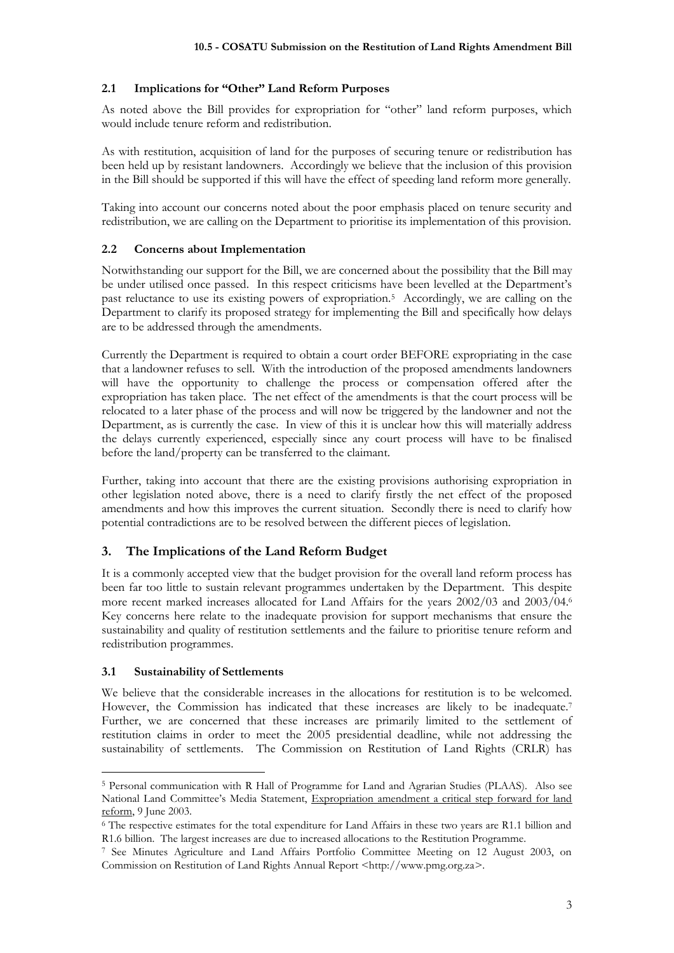## **2.1 Implications for "Other" Land Reform Purposes**

As noted above the Bill provides for expropriation for "other" land reform purposes, which would include tenure reform and redistribution.

As with restitution, acquisition of land for the purposes of securing tenure or redistribution has been held up by resistant landowners. Accordingly we believe that the inclusion of this provision in the Bill should be supported if this will have the effect of speeding land reform more generally.

Taking into account our concerns noted about the poor emphasis placed on tenure security and redistribution, we are calling on the Department to prioritise its implementation of this provision.

#### **2.2 Concerns about Implementation**

Notwithstanding our support for the Bill, we are concerned about the possibility that the Bill may be under utilised once passed. In this respect criticisms have been levelled at the Department's past reluctance to use its existing powers of expropriation.<sup>5</sup> Accordingly, we are calling on the Department to clarify its proposed strategy for implementing the Bill and specifically how delays are to be addressed through the amendments.

Currently the Department is required to obtain a court order BEFORE expropriating in the case that a landowner refuses to sell. With the introduction of the proposed amendments landowners will have the opportunity to challenge the process or compensation offered after the expropriation has taken place. The net effect of the amendments is that the court process will be relocated to a later phase of the process and will now be triggered by the landowner and not the Department, as is currently the case. In view of this it is unclear how this will materially address the delays currently experienced, especially since any court process will have to be finalised before the land/property can be transferred to the claimant.

Further, taking into account that there are the existing provisions authorising expropriation in other legislation noted above, there is a need to clarify firstly the net effect of the proposed amendments and how this improves the current situation. Secondly there is need to clarify how potential contradictions are to be resolved between the different pieces of legislation.

## **3. The Implications of the Land Reform Budget**

It is a commonly accepted view that the budget provision for the overall land reform process has been far too little to sustain relevant programmes undertaken by the Department. This despite more recent marked increases allocated for Land Affairs for the years 2002/03 and 2003/04.<sup>6</sup> Key concerns here relate to the inadequate provision for support mechanisms that ensure the sustainability and quality of restitution settlements and the failure to prioritise tenure reform and redistribution programmes.

#### **3.1 Sustainability of Settlements**

We believe that the considerable increases in the allocations for restitution is to be welcomed. However, the Commission has indicated that these increases are likely to be inadequate.<sup>7</sup> Further, we are concerned that these increases are primarily limited to the settlement of restitution claims in order to meet the 2005 presidential deadline, while not addressing the sustainability of settlements. The Commission on Restitution of Land Rights (CRLR) has

<sup>5</sup> Personal communication with R Hall of Programme for Land and Agrarian Studies (PLAAS). Also see National Land Committee's Media Statement, Expropriation amendment a critical step forward for land reform, 9 June 2003.

<sup>6</sup> The respective estimates for the total expenditure for Land Affairs in these two years are R1.1 billion and R1.6 billion. The largest increases are due to increased allocations to the Restitution Programme.

<sup>7</sup> See Minutes Agriculture and Land Affairs Portfolio Committee Meeting on 12 August 2003, on Commission on Restitution of Land Rights Annual Report <http://www.pmg.org.za>.